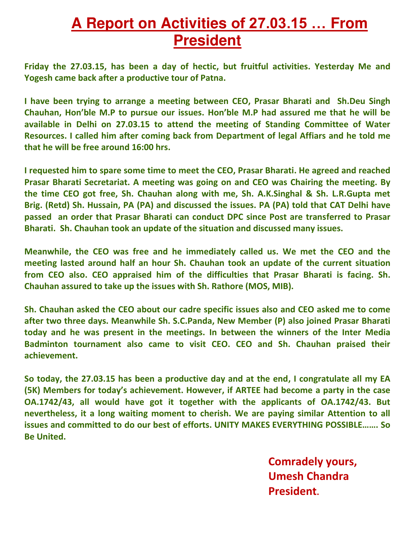## **A Report on Activities of 27.03.15 … From President**

**Friday the 27.03.15, has been a day of hectic, but fruitful activities. Yesterday Me and Yogesh came back after a productive tour of Patna.** 

**I have been trying to arrange a meeting between CEO, Prasar Bharati and Sh.Deu Singh Chauhan, Hon'ble M.P to pursue our issues. Hon'ble M.P had assured me that he will be available in Delhi on 27.03.15 to attend the meeting of Standing Committee of Water Resources. I called him after coming back from Department of legal Affiars and he told me that he will be free around 16:00 hrs.** 

**I requested him to spare some time to meet the CEO, Prasar Bharati. He agreed and reached Prasar Bharati Secretariat. A meeting was going on and CEO was Chairing the meeting. By the time CEO got free, Sh. Chauhan along with me, Sh. A.K.Singhal & Sh. L.R.Gupta met Brig. (Retd) Sh. Hussain, PA (PA) and discussed the issues. PA (PA) told that CAT Delhi have passed an order that Prasar Bharati can conduct DPC since Post are transferred to Prasar Bharati. Sh. Chauhan took an update of the situation and discussed many issues.** 

**Meanwhile, the CEO was free and he immediately called us. We met the CEO and the meeting lasted around half an hour Sh. Chauhan took an update of the current situation from CEO also. CEO appraised him of the difficulties that Prasar Bharati is facing. Sh. Chauhan assured to take up the issues with Sh. Rathore (MOS, MIB).** 

**Sh. Chauhan asked the CEO about our cadre specific issues also and CEO asked me to come after two three days. Meanwhile Sh. S.C.Panda, New Member (P) also joined Prasar Bharati today and he was present in the meetings. In between the winners of the Inter Media Badminton tournament also came to visit CEO. CEO and Sh. Chauhan praised their achievement.** 

**So today, the 27.03.15 has been a productive day and at the end, I congratulate all my EA (5K)** Members for today's achievement. However, if ARTEE had become a party in the case **OA.1742/43, all would have got it together with the applicants of OA.1742/43. But nevertheless, it a long waiting moment to cherish. We are paying similar Attention to all issues and committed to do our best of efforts. UNITY MAKES EVERYTHING POSSIBLE……. So Be United.** 

> **Comradely yours, Umesh Chandra President.**